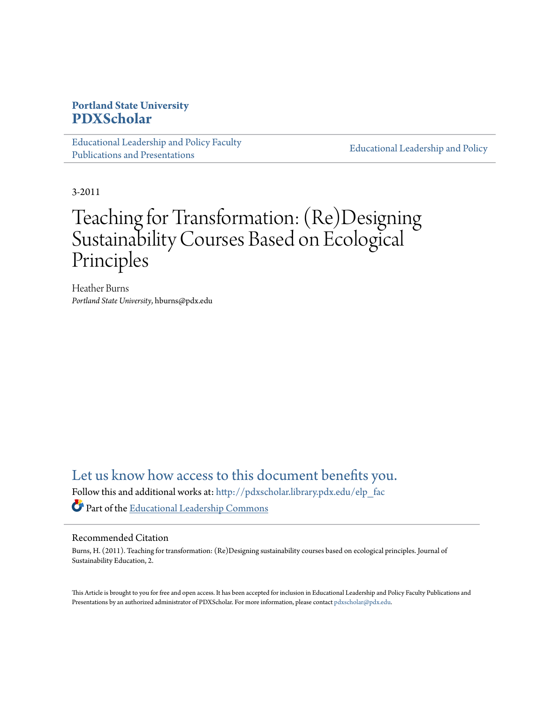# **Portland State University [PDXScholar](http://pdxscholar.library.pdx.edu?utm_source=pdxscholar.library.pdx.edu%2Felp_fac%2F20&utm_medium=PDF&utm_campaign=PDFCoverPages)**

[Educational Leadership and Policy Faculty](http://pdxscholar.library.pdx.edu/elp_fac?utm_source=pdxscholar.library.pdx.edu%2Felp_fac%2F20&utm_medium=PDF&utm_campaign=PDFCoverPages) [Publications and Presentations](http://pdxscholar.library.pdx.edu/elp_fac?utm_source=pdxscholar.library.pdx.edu%2Felp_fac%2F20&utm_medium=PDF&utm_campaign=PDFCoverPages)

[Educational Leadership and Policy](http://pdxscholar.library.pdx.edu/elp?utm_source=pdxscholar.library.pdx.edu%2Felp_fac%2F20&utm_medium=PDF&utm_campaign=PDFCoverPages)

3-2011

# Teaching for Transformation: (Re)Designing Sustainability Courses Based on Ecological Principles

Heather Burns *Portland State University*, hburns@pdx.edu

[Let us know how access to this document benefits you.](http://library.pdx.edu/services/pdxscholar-services/pdxscholar-feedback/)

Follow this and additional works at: [http://pdxscholar.library.pdx.edu/elp\\_fac](http://pdxscholar.library.pdx.edu/elp_fac?utm_source=pdxscholar.library.pdx.edu%2Felp_fac%2F20&utm_medium=PDF&utm_campaign=PDFCoverPages) Part of the [Educational Leadership Commons](http://network.bepress.com/hgg/discipline/1230?utm_source=pdxscholar.library.pdx.edu%2Felp_fac%2F20&utm_medium=PDF&utm_campaign=PDFCoverPages)

# Recommended Citation

Burns, H. (2011). Teaching for transformation: (Re)Designing sustainability courses based on ecological principles. Journal of Sustainability Education, 2.

This Article is brought to you for free and open access. It has been accepted for inclusion in Educational Leadership and Policy Faculty Publications and Presentations by an authorized administrator of PDXScholar. For more information, please contact [pdxscholar@pdx.edu.](mailto:pdxscholar@pdx.edu)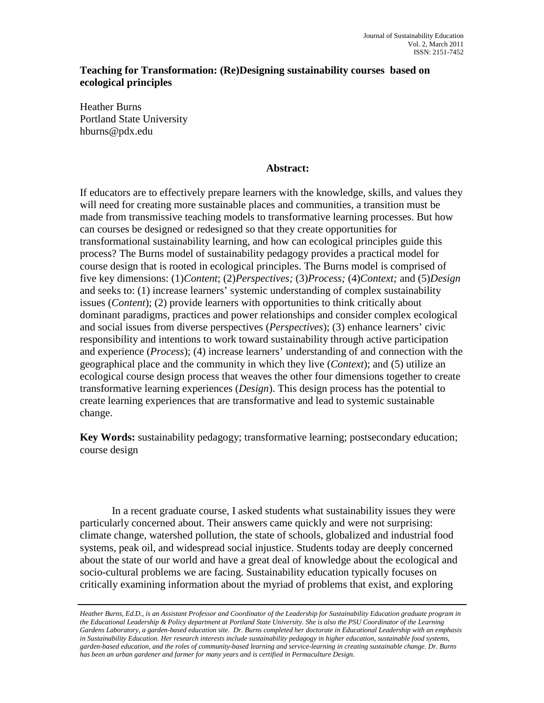# **Teaching for Transformation: (Re)Designing sustainability courses based on ecological principles**

Heather Burns Portland State University hburns@pdx.edu

# **Abstract:**

If educators are to effectively prepare learners with the knowledge, skills, and values they will need for creating more sustainable places and communities, a transition must be made from transmissive teaching models to transformative learning processes. But how can courses be designed or redesigned so that they create opportunities for transformational sustainability learning, and how can ecological principles guide this process? The Burns model of sustainability pedagogy provides a practical model for course design that is rooted in ecological principles. The Burns model is comprised of five key dimensions: (1)*Content*; (2)*Perspectives;* (3)*Process;* (4)*Context;* and (5)*Design*  and seeks to: (1) increase learners' systemic understanding of complex sustainability issues (*Content*); (2) provide learners with opportunities to think critically about dominant paradigms, practices and power relationships and consider complex ecological and social issues from diverse perspectives (*Perspectives*); (3) enhance learners' civic responsibility and intentions to work toward sustainability through active participation and experience (*Process*); (4) increase learners' understanding of and connection with the geographical place and the community in which they live (*Context*); and (5) utilize an ecological course design process that weaves the other four dimensions together to create transformative learning experiences (*Design*). This design process has the potential to create learning experiences that are transformative and lead to systemic sustainable change.

**Key Words:** sustainability pedagogy; transformative learning; postsecondary education; course design

In a recent graduate course, I asked students what sustainability issues they were particularly concerned about. Their answers came quickly and were not surprising: climate change, watershed pollution, the state of schools, globalized and industrial food systems, peak oil, and widespread social injustice. Students today are deeply concerned about the state of our world and have a great deal of knowledge about the ecological and socio-cultural problems we are facing. Sustainability education typically focuses on critically examining information about the myriad of problems that exist, and exploring

*Heather Burns, Ed.D., is an Assistant Professor and Coordinator of the Leadership for Sustainability Education graduate program in the Educational Leadership & Policy department at Portland State University. She is also the PSU Coordinator of the Learning Gardens Laboratory, a garden-based education site. Dr. Burns completed her doctorate in Educational Leadership with an emphasis in Sustainability Education. Her research interests include sustainability pedagogy in higher education, sustainable food systems, garden-based education, and the roles of community-based learning and service-learning in creating sustainable change. Dr. Burns*  has been an urban gardener and farmer for many years and is certified in Permaculture Design.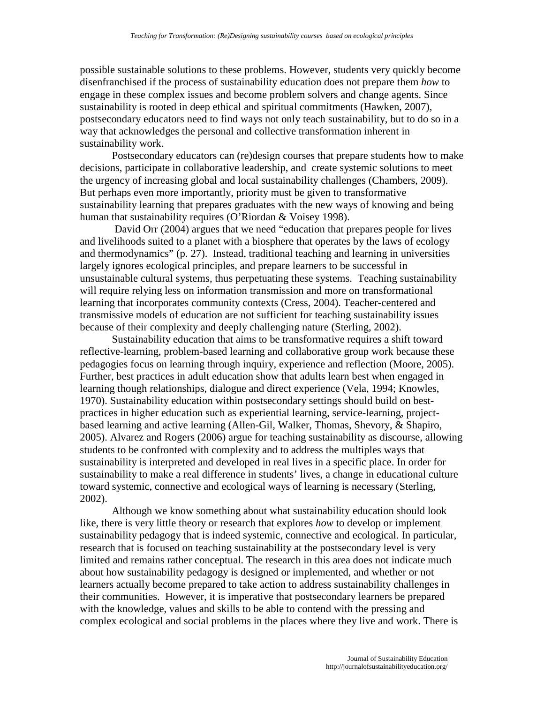possible sustainable solutions to these problems. However, students very quickly become disenfranchised if the process of sustainability education does not prepare them *how* to engage in these complex issues and become problem solvers and change agents. Since sustainability is rooted in deep ethical and spiritual commitments (Hawken, 2007), postsecondary educators need to find ways not only teach sustainability, but to do so in a way that acknowledges the personal and collective transformation inherent in sustainability work.

Postsecondary educators can (re)design courses that prepare students how to make decisions, participate in collaborative leadership, and create systemic solutions to meet the urgency of increasing global and local sustainability challenges (Chambers, 2009). But perhaps even more importantly, priority must be given to transformative sustainability learning that prepares graduates with the new ways of knowing and being human that sustainability requires (O'Riordan & Voisey 1998).

David Orr (2004) argues that we need "education that prepares people for lives and livelihoods suited to a planet with a biosphere that operates by the laws of ecology and thermodynamics" (p. 27). Instead, traditional teaching and learning in universities largely ignores ecological principles, and prepare learners to be successful in unsustainable cultural systems, thus perpetuating these systems. Teaching sustainability will require relying less on information transmission and more on transformational learning that incorporates community contexts (Cress, 2004). Teacher-centered and transmissive models of education are not sufficient for teaching sustainability issues because of their complexity and deeply challenging nature (Sterling, 2002).

Sustainability education that aims to be transformative requires a shift toward reflective-learning, problem-based learning and collaborative group work because these pedagogies focus on learning through inquiry, experience and reflection (Moore, 2005). Further, best practices in adult education show that adults learn best when engaged in learning though relationships, dialogue and direct experience (Vela, 1994; Knowles, 1970). Sustainability education within postsecondary settings should build on bestpractices in higher education such as experiential learning, service-learning, projectbased learning and active learning (Allen-Gil, Walker, Thomas, Shevory, & Shapiro, 2005). Alvarez and Rogers (2006) argue for teaching sustainability as discourse, allowing students to be confronted with complexity and to address the multiples ways that sustainability is interpreted and developed in real lives in a specific place. In order for sustainability to make a real difference in students' lives, a change in educational culture toward systemic, connective and ecological ways of learning is necessary (Sterling, 2002).

Although we know something about what sustainability education should look like, there is very little theory or research that explores *how* to develop or implement sustainability pedagogy that is indeed systemic, connective and ecological. In particular, research that is focused on teaching sustainability at the postsecondary level is very limited and remains rather conceptual. The research in this area does not indicate much about how sustainability pedagogy is designed or implemented, and whether or not learners actually become prepared to take action to address sustainability challenges in their communities. However, it is imperative that postsecondary learners be prepared with the knowledge, values and skills to be able to contend with the pressing and complex ecological and social problems in the places where they live and work. There is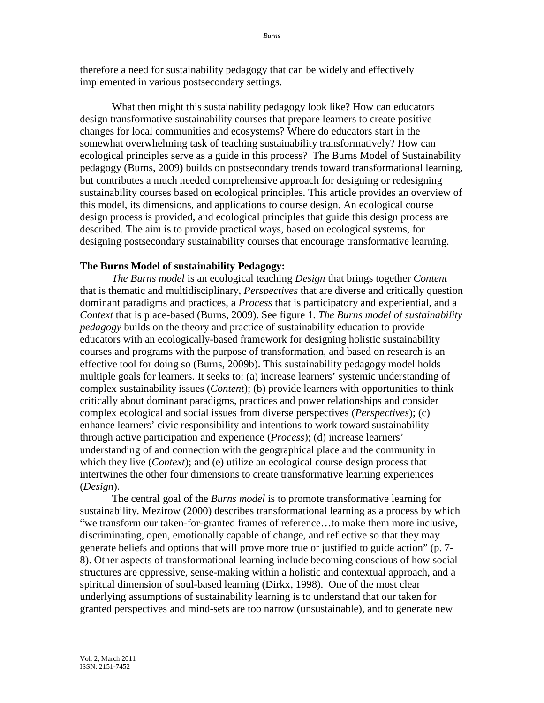therefore a need for sustainability pedagogy that can be widely and effectively implemented in various postsecondary settings.

What then might this sustainability pedagogy look like? How can educators design transformative sustainability courses that prepare learners to create positive changes for local communities and ecosystems? Where do educators start in the somewhat overwhelming task of teaching sustainability transformatively? How can ecological principles serve as a guide in this process? The Burns Model of Sustainability pedagogy (Burns, 2009) builds on postsecondary trends toward transformational learning, but contributes a much needed comprehensive approach for designing or redesigning sustainability courses based on ecological principles. This article provides an overview of this model, its dimensions, and applications to course design. An ecological course design process is provided, and ecological principles that guide this design process are described. The aim is to provide practical ways, based on ecological systems, for designing postsecondary sustainability courses that encourage transformative learning.

#### **The Burns Model of sustainability Pedagogy:**

*The Burns model* is an ecological teaching *Design* that brings together *Content*  that is thematic and multidisciplinary, *Perspectives* that are diverse and critically question dominant paradigms and practices, a *Process* that is participatory and experiential, and a *Context* that is place-based (Burns, 2009). See figure 1. *The Burns model of sustainability pedagogy* builds on the theory and practice of sustainability education to provide educators with an ecologically-based framework for designing holistic sustainability courses and programs with the purpose of transformation, and based on research is an effective tool for doing so (Burns, 2009b). This sustainability pedagogy model holds multiple goals for learners. It seeks to: (a) increase learners' systemic understanding of complex sustainability issues (*Content*); (b) provide learners with opportunities to think critically about dominant paradigms, practices and power relationships and consider complex ecological and social issues from diverse perspectives (*Perspectives*); (c) enhance learners' civic responsibility and intentions to work toward sustainability through active participation and experience (*Process*); (d) increase learners' understanding of and connection with the geographical place and the community in which they live (*Context*); and (e) utilize an ecological course design process that intertwines the other four dimensions to create transformative learning experiences (*Design*).

The central goal of the *Burns model* is to promote transformative learning for sustainability. Mezirow (2000) describes transformational learning as a process by which "we transform our taken-for-granted frames of reference…to make them more inclusive, discriminating, open, emotionally capable of change, and reflective so that they may generate beliefs and options that will prove more true or justified to guide action" (p. 7- 8). Other aspects of transformational learning include becoming conscious of how social structures are oppressive, sense-making within a holistic and contextual approach, and a spiritual dimension of soul-based learning (Dirkx, 1998). One of the most clear underlying assumptions of sustainability learning is to understand that our taken for granted perspectives and mind-sets are too narrow (unsustainable), and to generate new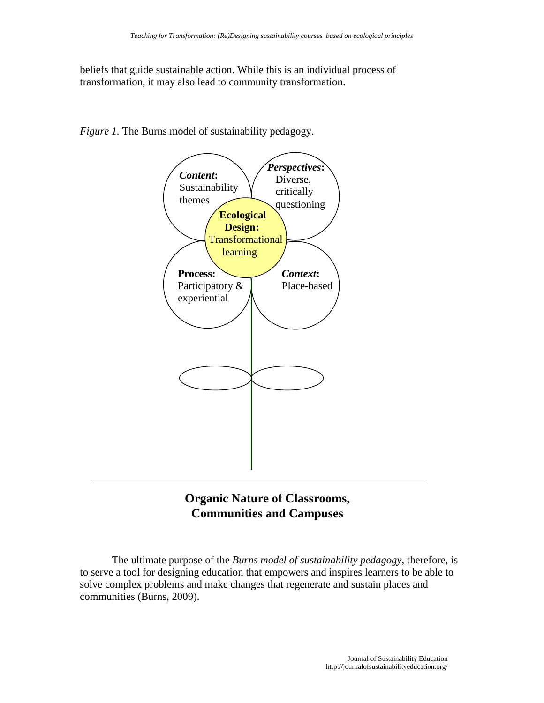beliefs that guide sustainable action. While this is an individual process of transformation, it may also lead to community transformation.



*Figure 1.* The Burns model of sustainability pedagogy.

# **Organic Nature of Classrooms, Communities and Campuses**

The ultimate purpose of the *Burns model of sustainability pedagogy,* therefore, is to serve a tool for designing education that empowers and inspires learners to be able to solve complex problems and make changes that regenerate and sustain places and communities (Burns, 2009).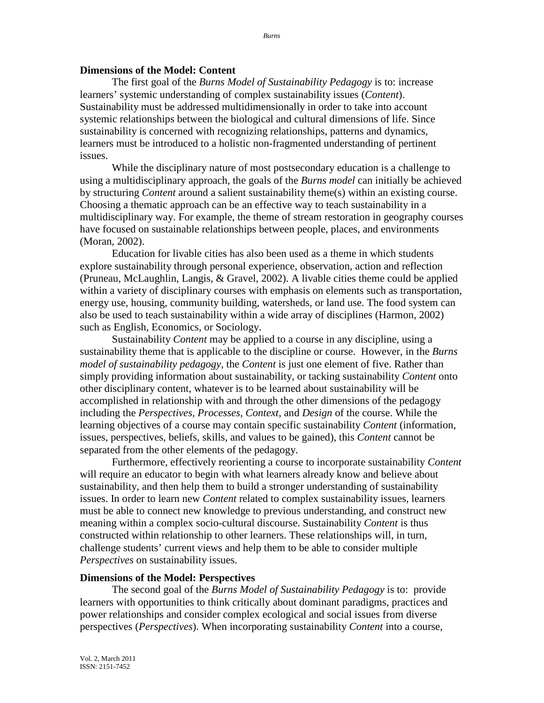### **Dimensions of the Model: Content**

The first goal of the *Burns Model of Sustainability Pedagogy* is to: increase learners' systemic understanding of complex sustainability issues (*Content*). Sustainability must be addressed multidimensionally in order to take into account systemic relationships between the biological and cultural dimensions of life. Since sustainability is concerned with recognizing relationships, patterns and dynamics, learners must be introduced to a holistic non-fragmented understanding of pertinent issues.

While the disciplinary nature of most postsecondary education is a challenge to using a multidisciplinary approach, the goals of the *Burns model* can initially be achieved by structuring *Content* around a salient sustainability theme(s) within an existing course. Choosing a thematic approach can be an effective way to teach sustainability in a multidisciplinary way. For example, the theme of stream restoration in geography courses have focused on sustainable relationships between people, places, and environments (Moran, 2002).

Education for livable cities has also been used as a theme in which students explore sustainability through personal experience, observation, action and reflection (Pruneau, McLaughlin, Langis, & Gravel, 2002). A livable cities theme could be applied within a variety of disciplinary courses with emphasis on elements such as transportation, energy use, housing, community building, watersheds, or land use. The food system can also be used to teach sustainability within a wide array of disciplines (Harmon, 2002) such as English, Economics, or Sociology.

Sustainability *Content* may be applied to a course in any discipline, using a sustainability theme that is applicable to the discipline or course. However, in the *Burns model of sustainability pedagogy*, the *Content* is just one element of five. Rather than simply providing information about sustainability, or tacking sustainability *Content* onto other disciplinary content, whatever is to be learned about sustainability will be accomplished in relationship with and through the other dimensions of the pedagogy including the *Perspectives, Processes, Context,* and *Design* of the course. While the learning objectives of a course may contain specific sustainability *Content* (information, issues, perspectives, beliefs, skills, and values to be gained), this *Content* cannot be separated from the other elements of the pedagogy.

Furthermore, effectively reorienting a course to incorporate sustainability *Content* will require an educator to begin with what learners already know and believe about sustainability, and then help them to build a stronger understanding of sustainability issues. In order to learn new *Content* related to complex sustainability issues, learners must be able to connect new knowledge to previous understanding, and construct new meaning within a complex socio-cultural discourse. Sustainability *Content* is thus constructed within relationship to other learners. These relationships will, in turn, challenge students' current views and help them to be able to consider multiple *Perspectives* on sustainability issues.

## **Dimensions of the Model: Perspectives**

The second goal of the *Burns Model of Sustainability Pedagogy* is to: provide learners with opportunities to think critically about dominant paradigms, practices and power relationships and consider complex ecological and social issues from diverse perspectives (*Perspectives*). When incorporating sustainability *Content* into a course,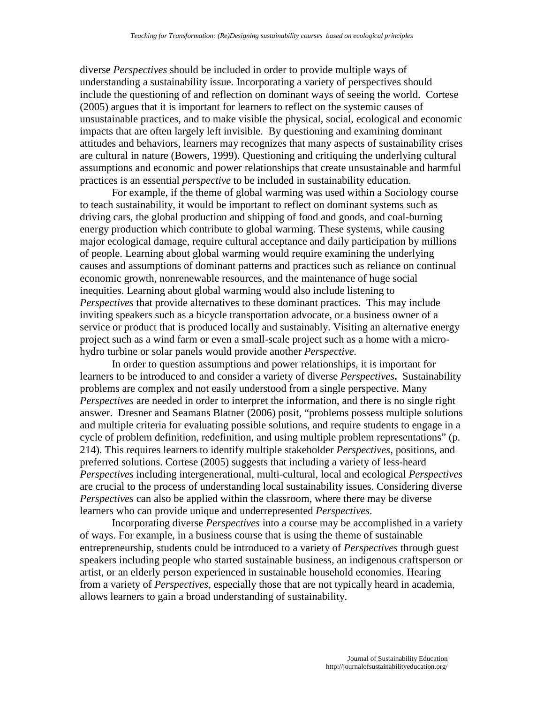diverse *Perspectives* should be included in order to provide multiple ways of understanding a sustainability issue. Incorporating a variety of perspectives should include the questioning of and reflection on dominant ways of seeing the world. Cortese (2005) argues that it is important for learners to reflect on the systemic causes of unsustainable practices, and to make visible the physical, social, ecological and economic impacts that are often largely left invisible. By questioning and examining dominant attitudes and behaviors, learners may recognizes that many aspects of sustainability crises are cultural in nature (Bowers, 1999). Questioning and critiquing the underlying cultural assumptions and economic and power relationships that create unsustainable and harmful practices is an essential *perspective* to be included in sustainability education.

For example, if the theme of global warming was used within a Sociology course to teach sustainability, it would be important to reflect on dominant systems such as driving cars, the global production and shipping of food and goods, and coal-burning energy production which contribute to global warming. These systems, while causing major ecological damage, require cultural acceptance and daily participation by millions of people. Learning about global warming would require examining the underlying causes and assumptions of dominant patterns and practices such as reliance on continual economic growth, nonrenewable resources, and the maintenance of huge social inequities. Learning about global warming would also include listening to *Perspectives* that provide alternatives to these dominant practices. This may include inviting speakers such as a bicycle transportation advocate, or a business owner of a service or product that is produced locally and sustainably. Visiting an alternative energy project such as a wind farm or even a small-scale project such as a home with a microhydro turbine or solar panels would provide another *Perspective.*

In order to question assumptions and power relationships, it is important for learners to be introduced to and consider a variety of diverse *Perspectives***.** Sustainability problems are complex and not easily understood from a single perspective. Many *Perspectives* are needed in order to interpret the information, and there is no single right answer. Dresner and Seamans Blatner (2006) posit, "problems possess multiple solutions and multiple criteria for evaluating possible solutions, and require students to engage in a cycle of problem definition, redefinition, and using multiple problem representations" (p. 214). This requires learners to identify multiple stakeholder *Perspectives*, positions, and preferred solutions. Cortese (2005) suggests that including a variety of less-heard *Perspectives* including intergenerational, multi-cultural, local and ecological *Perspectives* are crucial to the process of understanding local sustainability issues. Considering diverse *Perspectives* can also be applied within the classroom, where there may be diverse learners who can provide unique and underrepresented *Perspectives*.

Incorporating diverse *Perspectives* into a course may be accomplished in a variety of ways. For example, in a business course that is using the theme of sustainable entrepreneurship, students could be introduced to a variety of *Perspectives* through guest speakers including people who started sustainable business, an indigenous craftsperson or artist, or an elderly person experienced in sustainable household economies. Hearing from a variety of *Perspectives*, especially those that are not typically heard in academia, allows learners to gain a broad understanding of sustainability.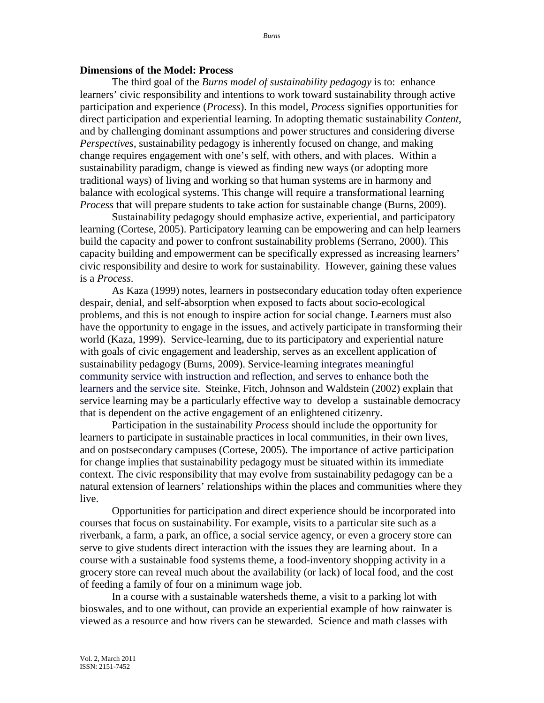#### **Dimensions of the Model: Process**

The third goal of the *Burns model of sustainability pedagogy* is to: enhance learners' civic responsibility and intentions to work toward sustainability through active participation and experience (*Process*). In this model, *Process* signifies opportunities for direct participation and experiential learning. In adopting thematic sustainability *Content*, and by challenging dominant assumptions and power structures and considering diverse *Perspectives*, sustainability pedagogy is inherently focused on change, and making change requires engagement with one's self, with others, and with places. Within a sustainability paradigm, change is viewed as finding new ways (or adopting more traditional ways) of living and working so that human systems are in harmony and balance with ecological systems. This change will require a transformational learning *Process* that will prepare students to take action for sustainable change (Burns, 2009).

Sustainability pedagogy should emphasize active, experiential, and participatory learning (Cortese, 2005). Participatory learning can be empowering and can help learners build the capacity and power to confront sustainability problems (Serrano, 2000). This capacity building and empowerment can be specifically expressed as increasing learners' civic responsibility and desire to work for sustainability. However, gaining these values is a *Process*.

As Kaza (1999) notes, learners in postsecondary education today often experience despair, denial, and self-absorption when exposed to facts about socio-ecological problems, and this is not enough to inspire action for social change. Learners must also have the opportunity to engage in the issues, and actively participate in transforming their world (Kaza, 1999). Service-learning, due to its participatory and experiential nature with goals of civic engagement and leadership, serves as an excellent application of sustainability pedagogy (Burns, 2009). Service-learning integrates meaningful community service with instruction and reflection, and serves to enhance both the learners and the service site. Steinke, Fitch, Johnson and Waldstein (2002) explain that service learning may be a particularly effective way to develop a sustainable democracy that is dependent on the active engagement of an enlightened citizenry.

Participation in the sustainability *Process* should include the opportunity for learners to participate in sustainable practices in local communities, in their own lives, and on postsecondary campuses (Cortese, 2005). The importance of active participation for change implies that sustainability pedagogy must be situated within its immediate context. The civic responsibility that may evolve from sustainability pedagogy can be a natural extension of learners' relationships within the places and communities where they live.

Opportunities for participation and direct experience should be incorporated into courses that focus on sustainability. For example, visits to a particular site such as a riverbank, a farm, a park, an office, a social service agency, or even a grocery store can serve to give students direct interaction with the issues they are learning about. In a course with a sustainable food systems theme, a food-inventory shopping activity in a grocery store can reveal much about the availability (or lack) of local food, and the cost of feeding a family of four on a minimum wage job.

In a course with a sustainable watersheds theme, a visit to a parking lot with bioswales, and to one without, can provide an experiential example of how rainwater is viewed as a resource and how rivers can be stewarded. Science and math classes with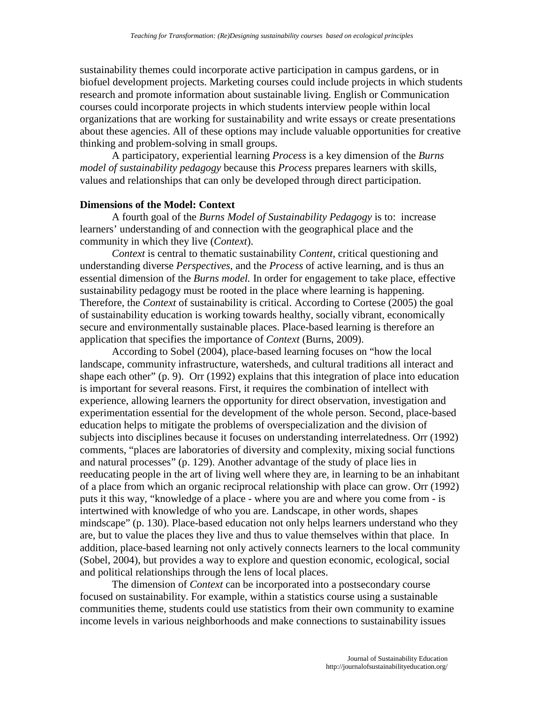sustainability themes could incorporate active participation in campus gardens, or in biofuel development projects. Marketing courses could include projects in which students research and promote information about sustainable living. English or Communication courses could incorporate projects in which students interview people within local organizations that are working for sustainability and write essays or create presentations about these agencies. All of these options may include valuable opportunities for creative thinking and problem-solving in small groups.

A participatory, experiential learning *Process* is a key dimension of the *Burns model of sustainability pedagogy* because this *Process* prepares learners with skills, values and relationships that can only be developed through direct participation.

# **Dimensions of the Model: Context**

A fourth goal of the *Burns Model of Sustainability Pedagogy* is to: increase learners' understanding of and connection with the geographical place and the community in which they live (*Context*).

*Context* is central to thematic sustainability *Content*, critical questioning and understanding diverse *Perspectives*, and the *Process* of active learning, and is thus an essential dimension of the *Burns model.* In order for engagement to take place, effective sustainability pedagogy must be rooted in the place where learning is happening. Therefore, the *Context* of sustainability is critical. According to Cortese (2005) the goal of sustainability education is working towards healthy, socially vibrant, economically secure and environmentally sustainable places. Place-based learning is therefore an application that specifies the importance of *Context* (Burns, 2009).

According to Sobel (2004), place-based learning focuses on "how the local landscape, community infrastructure, watersheds, and cultural traditions all interact and shape each other" (p. 9). Orr (1992) explains that this integration of place into education is important for several reasons. First, it requires the combination of intellect with experience, allowing learners the opportunity for direct observation, investigation and experimentation essential for the development of the whole person. Second, place-based education helps to mitigate the problems of overspecialization and the division of subjects into disciplines because it focuses on understanding interrelatedness. Orr (1992) comments, "places are laboratories of diversity and complexity, mixing social functions and natural processes" (p. 129). Another advantage of the study of place lies in reeducating people in the art of living well where they are, in learning to be an inhabitant of a place from which an organic reciprocal relationship with place can grow. Orr (1992) puts it this way, "knowledge of a place - where you are and where you come from - is intertwined with knowledge of who you are. Landscape, in other words, shapes mindscape" (p. 130). Place-based education not only helps learners understand who they are, but to value the places they live and thus to value themselves within that place. In addition, place-based learning not only actively connects learners to the local community (Sobel, 2004), but provides a way to explore and question economic, ecological, social and political relationships through the lens of local places.

The dimension of *Context* can be incorporated into a postsecondary course focused on sustainability. For example, within a statistics course using a sustainable communities theme, students could use statistics from their own community to examine income levels in various neighborhoods and make connections to sustainability issues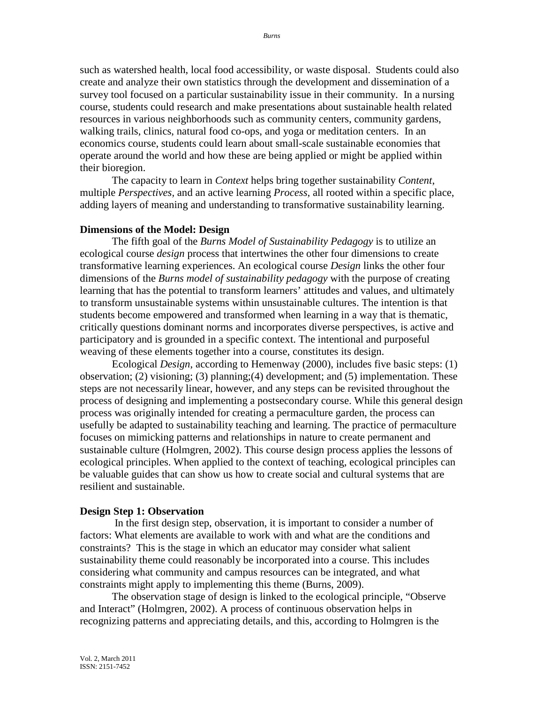such as watershed health, local food accessibility, or waste disposal. Students could also create and analyze their own statistics through the development and dissemination of a survey tool focused on a particular sustainability issue in their community. In a nursing course, students could research and make presentations about sustainable health related resources in various neighborhoods such as community centers, community gardens, walking trails, clinics, natural food co-ops, and yoga or meditation centers. In an economics course, students could learn about small-scale sustainable economies that operate around the world and how these are being applied or might be applied within their bioregion.

The capacity to learn in *Context* helps bring together sustainability *Content*, multiple *Perspectives,* and an active learning *Process*, all rooted within a specific place, adding layers of meaning and understanding to transformative sustainability learning.

#### **Dimensions of the Model: Design**

The fifth goal of the *Burns Model of Sustainability Pedagogy* is to utilize an ecological course *design* process that intertwines the other four dimensions to create transformative learning experiences. An ecological course *Design* links the other four dimensions of the *Burns model of sustainability pedagogy* with the purpose of creating learning that has the potential to transform learners' attitudes and values, and ultimately to transform unsustainable systems within unsustainable cultures. The intention is that students become empowered and transformed when learning in a way that is thematic, critically questions dominant norms and incorporates diverse perspectives, is active and participatory and is grounded in a specific context. The intentional and purposeful weaving of these elements together into a course, constitutes its design.

Ecological *Design*, according to Hemenway (2000), includes five basic steps: (1) observation; (2) visioning; (3) planning;(4) development; and (5) implementation. These steps are not necessarily linear, however, and any steps can be revisited throughout the process of designing and implementing a postsecondary course. While this general design process was originally intended for creating a permaculture garden, the process can usefully be adapted to sustainability teaching and learning. The practice of permaculture focuses on mimicking patterns and relationships in nature to create permanent and sustainable culture (Holmgren, 2002). This course design process applies the lessons of ecological principles. When applied to the context of teaching, ecological principles can be valuable guides that can show us how to create social and cultural systems that are resilient and sustainable.

#### **Design Step 1: Observation**

In the first design step, observation, it is important to consider a number of factors: What elements are available to work with and what are the conditions and constraints? This is the stage in which an educator may consider what salient sustainability theme could reasonably be incorporated into a course. This includes considering what community and campus resources can be integrated, and what constraints might apply to implementing this theme (Burns, 2009).

The observation stage of design is linked to the ecological principle, "Observe and Interact" (Holmgren, 2002). A process of continuous observation helps in recognizing patterns and appreciating details, and this, according to Holmgren is the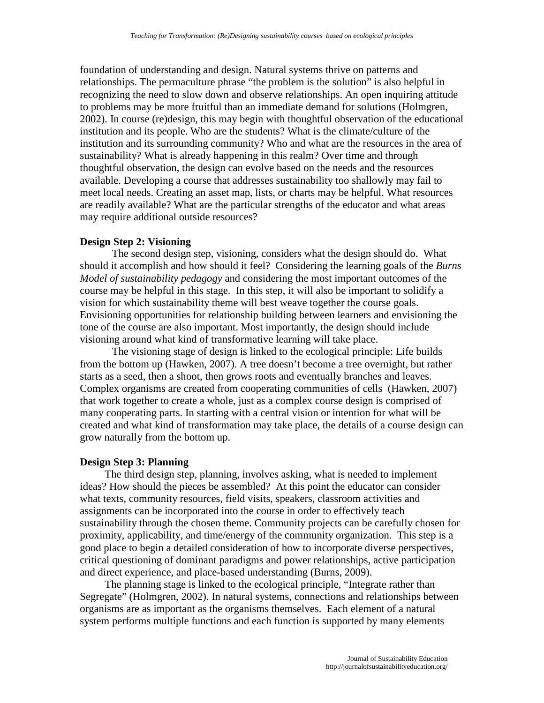foundation of understanding and design. Natural systems thrive on patterns and relationships. The permaculture phrase "the problem is the solution" is also helpful in recognizing the need to slow down and observe relationships. An open inquiring attitude to problems may be more fruitful than an immediate demand for solutions (Holmgren, 2002). In course (re)design, this may begin with thoughtful observation of the educational institution and its people. Who are the students? What is the climate/culture of the institution and its surrounding community? Who and what are the resources in the area of sustainability? What is already happening in this realm? Over time and through thoughtful observation, the design can evolve based on the needs and the resources available. Developing a course that addresses sustainability too shallowly may fail to meet local needs. Creating an asset map, lists, or charts may be helpful. What resources are readily available? What are the particular strengths of the educator and what areas may require additional outside resources?

# **Design Step 2: Visioning**

The second design step, visioning, considers what the design should do. What should it accomplish and how should it feel? Considering the learning goals of the *Burns Model of sustainability pedagogy* and considering the most important outcomes of the course may be helpful in this stage. In this step, it will also be important to solidify a vision for which sustainability theme will best weave together the course goals. Envisioning opportunities for relationship building between learners and envisioning the tone of the course are also important. Most importantly, the design should include visioning around what kind of transformative learning will take place.

The visioning stage of design is linked to the ecological principle: Life builds from the bottom up (Hawken, 2007). A tree doesn't become a tree overnight, but rather starts as a seed, then a shoot, then grows roots and eventually branches and leaves. Complex organisms are created from cooperating communities of cells (Hawken, 2007) that work together to create a whole, just as a complex course design is comprised of many cooperating parts. In starting with a central vision or intention for what will be created and what kind of transformation may take place, the details of a course design can grow naturally from the bottom up.

# **Design Step 3: Planning**

The third design step, planning, involves asking, what is needed to implement ideas? How should the pieces be assembled? At this point the educator can consider what texts, community resources, field visits, speakers, classroom activities and assignments can be incorporated into the course in order to effectively teach sustainability through the chosen theme. Community projects can be carefully chosen for proximity, applicability, and time/energy of the community organization. This step is a good place to begin a detailed consideration of how to incorporate diverse perspectives, critical questioning of dominant paradigms and power relationships, active participation and direct experience, and place-based understanding (Burns, 2009).

The planning stage is linked to the ecological principle, "Integrate rather than Segregate" (Holmgren, 2002). In natural systems, connections and relationships between organisms are as important as the organisms themselves. Each element of a natural system performs multiple functions and each function is supported by many elements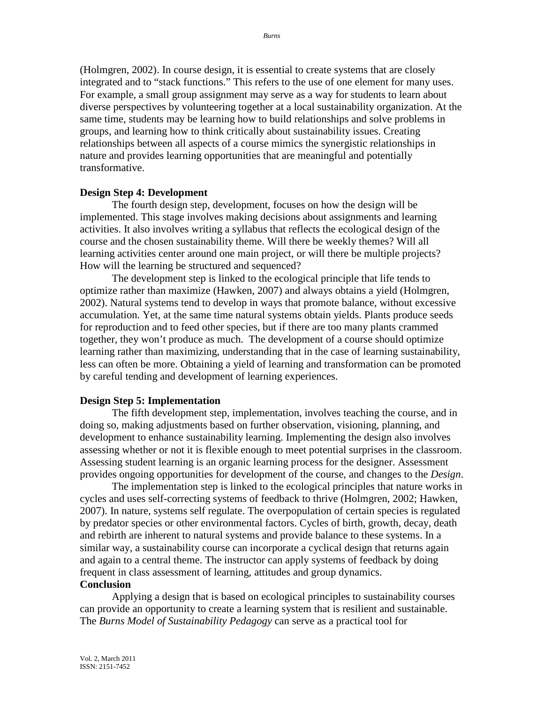(Holmgren, 2002). In course design, it is essential to create systems that are closely integrated and to "stack functions." This refers to the use of one element for many uses. For example, a small group assignment may serve as a way for students to learn about diverse perspectives by volunteering together at a local sustainability organization. At the same time, students may be learning how to build relationships and solve problems in groups, and learning how to think critically about sustainability issues. Creating relationships between all aspects of a course mimics the synergistic relationships in nature and provides learning opportunities that are meaningful and potentially transformative.

## **Design Step 4: Development**

The fourth design step, development, focuses on how the design will be implemented. This stage involves making decisions about assignments and learning activities. It also involves writing a syllabus that reflects the ecological design of the course and the chosen sustainability theme. Will there be weekly themes? Will all learning activities center around one main project, or will there be multiple projects? How will the learning be structured and sequenced?

The development step is linked to the ecological principle that life tends to optimize rather than maximize (Hawken, 2007) and always obtains a yield (Holmgren, 2002). Natural systems tend to develop in ways that promote balance, without excessive accumulation. Yet, at the same time natural systems obtain yields. Plants produce seeds for reproduction and to feed other species, but if there are too many plants crammed together, they won't produce as much. The development of a course should optimize learning rather than maximizing, understanding that in the case of learning sustainability, less can often be more. Obtaining a yield of learning and transformation can be promoted by careful tending and development of learning experiences.

## **Design Step 5: Implementation**

The fifth development step, implementation, involves teaching the course, and in doing so, making adjustments based on further observation, visioning, planning, and development to enhance sustainability learning. Implementing the design also involves assessing whether or not it is flexible enough to meet potential surprises in the classroom. Assessing student learning is an organic learning process for the designer. Assessment provides ongoing opportunities for development of the course, and changes to the *Design*.

The implementation step is linked to the ecological principles that nature works in cycles and uses self-correcting systems of feedback to thrive (Holmgren, 2002; Hawken, 2007). In nature, systems self regulate. The overpopulation of certain species is regulated by predator species or other environmental factors. Cycles of birth, growth, decay, death and rebirth are inherent to natural systems and provide balance to these systems. In a similar way, a sustainability course can incorporate a cyclical design that returns again and again to a central theme. The instructor can apply systems of feedback by doing frequent in class assessment of learning, attitudes and group dynamics.

# **Conclusion**

Applying a design that is based on ecological principles to sustainability courses can provide an opportunity to create a learning system that is resilient and sustainable. The *Burns Model of Sustainability Pedagogy* can serve as a practical tool for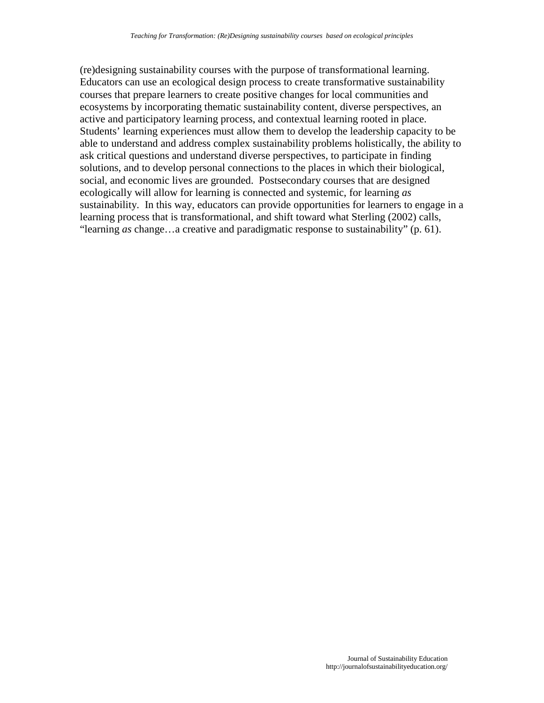(re)designing sustainability courses with the purpose of transformational learning. Educators can use an ecological design process to create transformative sustainability courses that prepare learners to create positive changes for local communities and ecosystems by incorporating thematic sustainability content, diverse perspectives, an active and participatory learning process, and contextual learning rooted in place. Students' learning experiences must allow them to develop the leadership capacity to be able to understand and address complex sustainability problems holistically, the ability to ask critical questions and understand diverse perspectives, to participate in finding solutions, and to develop personal connections to the places in which their biological, social, and economic lives are grounded. Postsecondary courses that are designed ecologically will allow for learning is connected and systemic, for learning *as* sustainability. In this way, educators can provide opportunities for learners to engage in a learning process that is transformational, and shift toward what Sterling (2002) calls, "learning *as* change…a creative and paradigmatic response to sustainability" (p. 61).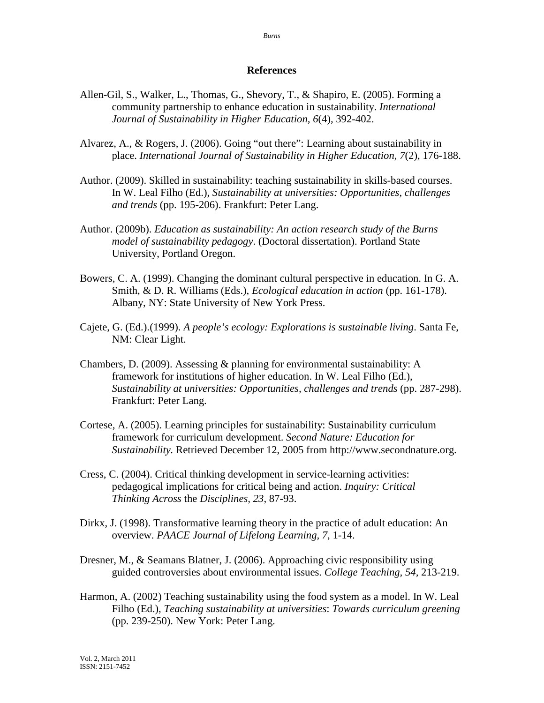## **References**

- Allen-Gil, S., Walker, L., Thomas, G., Shevory, T., & Shapiro, E. (2005). Forming a community partnership to enhance education in sustainability. *International Journal of Sustainability in Higher Education, 6*(4), 392-402.
- Alvarez, A., & Rogers, J. (2006). Going "out there": Learning about sustainability in place. *International Journal of Sustainability in Higher Education, 7*(2), 176-188.
- Author. (2009). Skilled in sustainability: teaching sustainability in skills-based courses. In W. Leal Filho (Ed.), *Sustainability at universities: Opportunities, challenges and trends* (pp. 195-206). Frankfurt: Peter Lang.
- Author. (2009b). *Education as sustainability: An action research study of the Burns model of sustainability pedagogy*. (Doctoral dissertation). Portland State University, Portland Oregon.
- Bowers, C. A. (1999). Changing the dominant cultural perspective in education. In G. A. Smith, & D. R. Williams (Eds.), *Ecological education in action* (pp. 161-178). Albany, NY: State University of New York Press.
- Cajete, G. (Ed.).(1999). *A people's ecology: Explorations is sustainable living*. Santa Fe, NM: Clear Light.
- Chambers, D. (2009). Assessing  $\&$  planning for environmental sustainability: A framework for institutions of higher education. In W. Leal Filho (Ed.), *Sustainability at universities: Opportunities, challenges and trends* (pp. 287-298). Frankfurt: Peter Lang.
- Cortese, A. (2005). Learning principles for sustainability: Sustainability curriculum framework for curriculum development. *Second Nature: Education for Sustainability.* Retrieved December 12, 2005 from http://www.secondnature.org.
- Cress, C. (2004). Critical thinking development in service-learning activities: pedagogical implications for critical being and action. *Inquiry: Critical Thinking Across* the *Disciplines, 23*, 87-93.
- Dirkx, J. (1998). Transformative learning theory in the practice of adult education: An overview. *PAACE Journal of Lifelong Learning, 7*, 1-14.
- Dresner, M., & Seamans Blatner, J. (2006). Approaching civic responsibility using guided controversies about environmental issues. *College Teaching, 54,* 213-219.
- Harmon, A. (2002) Teaching sustainability using the food system as a model. In W. Leal Filho (Ed.), *Teaching sustainability at universities*: *Towards curriculum greening* (pp. 239-250). New York: Peter Lang.

*Burns*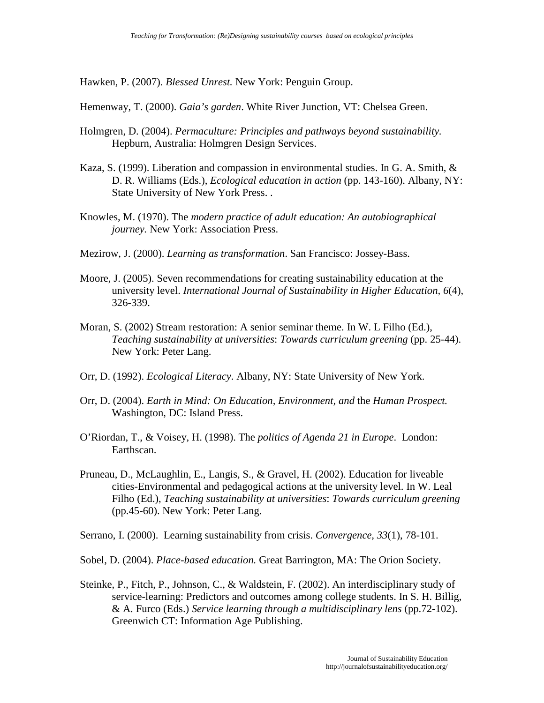Hawken, P. (2007). *Blessed Unrest.* New York: Penguin Group.

Hemenway, T. (2000). *Gaia's garden*. White River Junction, VT: Chelsea Green.

- Holmgren, D. (2004). *Permaculture: Principles and pathways beyond sustainability.* Hepburn, Australia: Holmgren Design Services.
- Kaza, S. (1999). Liberation and compassion in environmental studies. In G. A. Smith, & D. R. Williams (Eds.), *Ecological education in action* (pp. 143-160). Albany, NY: State University of New York Press. .
- Knowles, M. (1970). The *modern practice of adult education: An autobiographical journey.* New York: Association Press.
- Mezirow, J. (2000). *Learning as transformation*. San Francisco: Jossey-Bass.
- Moore, J. (2005). Seven recommendations for creating sustainability education at the university level. *International Journal of Sustainability in Higher Education, 6*(4), 326-339.
- Moran, S. (2002) Stream restoration: A senior seminar theme. In W. L Filho (Ed.), *Teaching sustainability at universities*: *Towards curriculum greening* (pp. 25-44). New York: Peter Lang.
- Orr, D. (1992). *Ecological Literacy*. Albany, NY: State University of New York.
- Orr, D. (2004). *Earth in Mind: On Education, Environment, and* the *Human Prospect.*  Washington, DC: Island Press.
- O'Riordan, T., & Voisey, H. (1998). The *politics of Agenda 21 in Europe*. London: Earthscan.
- Pruneau, D., McLaughlin, E., Langis, S., & Gravel, H. (2002). Education for liveable cities-Environmental and pedagogical actions at the university level. In W. Leal Filho (Ed.), *Teaching sustainability at universities*: *Towards curriculum greening* (pp.45-60). New York: Peter Lang.
- Serrano, I. (2000). Learning sustainability from crisis. *Convergence, 33*(1), 78-101.
- Sobel, D. (2004). *Place-based education.* Great Barrington, MA: The Orion Society.
- Steinke, P., Fitch, P., Johnson, C., & Waldstein, F. (2002). An interdisciplinary study of service-learning: Predictors and outcomes among college students. In S. H. Billig, & A. Furco (Eds.) *Service learning through a multidisciplinary lens* (pp.72-102). Greenwich CT: Information Age Publishing.